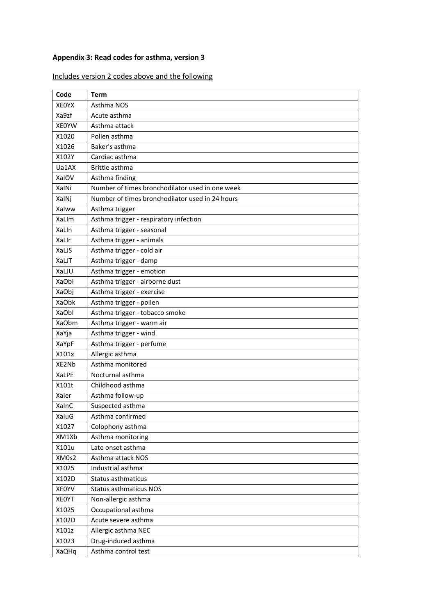## **Appendix 3: Read codes for asthma, version 3**

## Includes version 2 codes above and the following

| Code         | <b>Term</b>                                     |
|--------------|-------------------------------------------------|
| <b>XEOYX</b> | Asthma NOS                                      |
| Xa9zf        | Acute asthma                                    |
| <b>XEOYW</b> | Asthma attack                                   |
| X1020        | Pollen asthma                                   |
| X1026        | Baker's asthma                                  |
| X102Y        | Cardiac asthma                                  |
| Ua1AX        | Brittle asthma                                  |
| XalOV        | Asthma finding                                  |
| XalNi        | Number of times bronchodilator used in one week |
| XalNj        | Number of times bronchodilator used in 24 hours |
| Xalww        | Asthma trigger                                  |
| XaLIm        | Asthma trigger - respiratory infection          |
| XaLIn        | Asthma trigger - seasonal                       |
| XaLIr        | Asthma trigger - animals                        |
| XaLJS        | Asthma trigger - cold air                       |
| XaLJT        | Asthma trigger - damp                           |
| XaLJU        | Asthma trigger - emotion                        |
| XaObi        | Asthma trigger - airborne dust                  |
| XaObj        | Asthma trigger - exercise                       |
| XaObk        | Asthma trigger - pollen                         |
| XaObl        | Asthma trigger - tobacco smoke                  |
| <b>XaObm</b> | Asthma trigger - warm air                       |
| XaYja        | Asthma trigger - wind                           |
| <b>XaYpF</b> | Asthma trigger - perfume                        |
| X101x        | Allergic asthma                                 |
| XE2Nb        | Asthma monitored                                |
| XaLPE        | Nocturnal asthma                                |
| X101t        | Childhood asthma                                |
| Xaler        | Asthma follow-up                                |
| XalnC        | Suspected asthma                                |
| XaluG        | Asthma confirmed                                |
| X1027        | Colophony asthma                                |
| XM1Xb        | Asthma monitoring                               |
| X101u        | Late onset asthma                               |
| XM0s2        | Asthma attack NOS                               |
| X1025        | Industrial asthma                               |
| X102D        | Status asthmaticus                              |
| <b>XEOYV</b> | Status asthmaticus NOS                          |
| <b>XEOYT</b> | Non-allergic asthma                             |
| X1025        | Occupational asthma                             |
| X102D        | Acute severe asthma                             |
| X101z        | Allergic asthma NEC                             |
| X1023        | Drug-induced asthma                             |
| XaQHq        | Asthma control test                             |
|              |                                                 |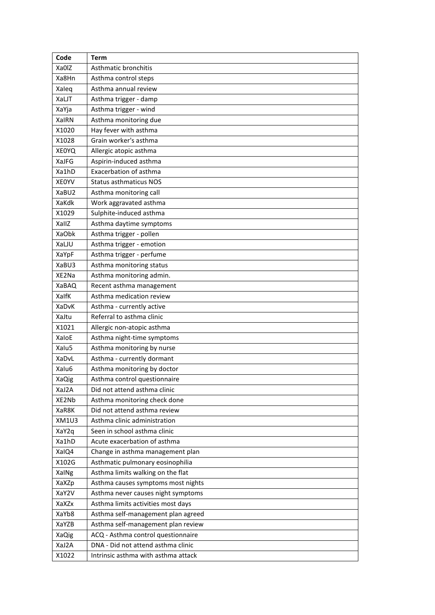| Code         | Term                                |
|--------------|-------------------------------------|
| Xa0IZ        | Asthmatic bronchitis                |
| Xa8Hn        | Asthma control steps                |
| Xaleq        | Asthma annual review                |
| XaLJT        | Asthma trigger - damp               |
| XaYja        | Asthma trigger - wind               |
| <b>XalRN</b> | Asthma monitoring due               |
| X1020        | Hay fever with asthma               |
| X1028        | Grain worker's asthma               |
| <b>XEOYQ</b> | Allergic atopic asthma              |
| XaJFG        | Aspirin-induced asthma              |
| Xa1hD        | Exacerbation of asthma              |
| <b>XEOYV</b> | <b>Status asthmaticus NOS</b>       |
| XaBU2        | Asthma monitoring call              |
| XaKdk        | Work aggravated asthma              |
| X1029        | Sulphite-induced asthma             |
| XallZ        | Asthma daytime symptoms             |
| XaObk        | Asthma trigger - pollen             |
| XaLJU        | Asthma trigger - emotion            |
| XaYpF        | Asthma trigger - perfume            |
| XaBU3        | Asthma monitoring status            |
| XE2Na        | Asthma monitoring admin.            |
| XaBAQ        | Recent asthma management            |
| XalfK        | Asthma medication review            |
| <b>XaDvK</b> | Asthma - currently active           |
| XaJtu        | Referral to asthma clinic           |
| X1021        | Allergic non-atopic asthma          |
| XaloE        | Asthma night-time symptoms          |
| Xalu5        | Asthma monitoring by nurse          |
| XaDvL        | Asthma - currently dormant          |
| Xalu6        | Asthma monitoring by doctor         |
| XaQig        | Asthma control questionnaire        |
| XaJ2A        | Did not attend asthma clinic        |
| XE2Nb        | Asthma monitoring check done        |
| XaR8K        | Did not attend asthma review        |
| XM1U3        | Asthma clinic administration        |
| XaY2q        | Seen in school asthma clinic        |
| Xa1hD        | Acute exacerbation of asthma        |
| XalQ4        | Change in asthma management plan    |
| X102G        | Asthmatic pulmonary eosinophilia    |
| XalNg        | Asthma limits walking on the flat   |
| XaXZp        | Asthma causes symptoms most nights  |
| XaY2V        | Asthma never causes night symptoms  |
| XaXZx        | Asthma limits activities most days  |
| XaYb8        | Asthma self-management plan agreed  |
| XaYZB        | Asthma self-management plan review  |
| XaQig        | ACQ - Asthma control questionnaire  |
| XaJ2A        | DNA - Did not attend asthma clinic  |
| X1022        | Intrinsic asthma with asthma attack |